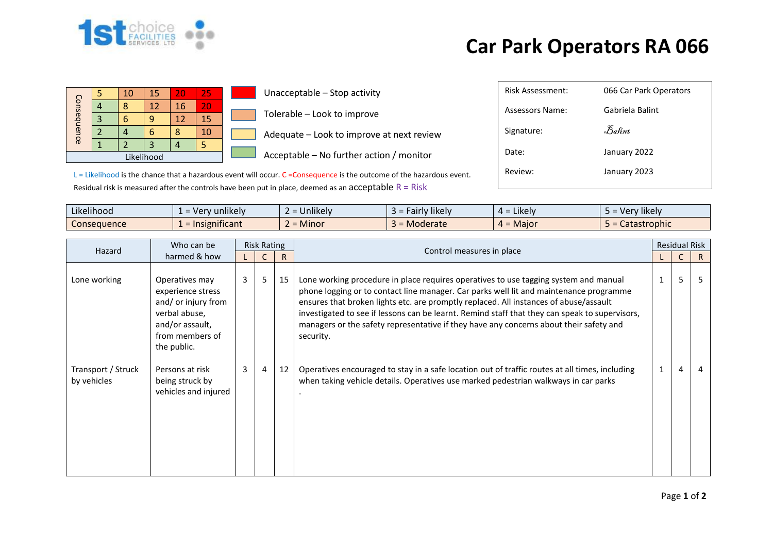

## **Car Park Operators RA 066**

| Consequence |  | 10 | 15 | 20 | 25 |  |  |
|-------------|--|----|----|----|----|--|--|
|             |  | Զ  | 12 | 16 | 20 |  |  |
|             |  |    |    | 12 | 15 |  |  |
|             |  |    |    |    | 10 |  |  |
|             |  |    | 3  |    |    |  |  |
| Likelihood  |  |    |    |    |    |  |  |

**Unacceptable – Stop activity** Tolerable – Look to improve  $\blacksquare$  Adequate – Look to improve at next review

 $\blacksquare$  Acceptable – No further action / monitor

Risk Assessment: 066 Car Park Operators Assessors Name: Gabriela Balint Signature: 35 Balint Date: January 2022

L = Likelihood is the chance that a hazardous event will occur. C = Consequence is the outcome of the hazardous event. Residual risk is measured after the controls have been put in place, deemed as an acceptable  $R = R$ isk

| Likelihood<br>$\cdots$ | v unlikelv<br>- Ver             | $\cdots$<br>$\sim$<br><b>Jnlikely</b>     | Fairly likely | $\cdots$<br>$4 =$ Likely | Very likely  |
|------------------------|---------------------------------|-------------------------------------------|---------------|--------------------------|--------------|
| <b>Consequence</b>     | .<br>$\epsilon$ = Insignificant | <b>A</b> $A$ <sup>+</sup><br><b>Minor</b> | Moderate      | $4 =$ Major              | Catastrophic |

| Who can be<br>Hazard<br>harmed & how |                                                                                                                                  | <b>Risk Rating</b> |   |    |                                                                                                                                                                                                                                                                                                                                                                                                                                                                                  |  | <b>Residual Risk</b> |    |  |
|--------------------------------------|----------------------------------------------------------------------------------------------------------------------------------|--------------------|---|----|----------------------------------------------------------------------------------------------------------------------------------------------------------------------------------------------------------------------------------------------------------------------------------------------------------------------------------------------------------------------------------------------------------------------------------------------------------------------------------|--|----------------------|----|--|
|                                      |                                                                                                                                  |                    |   |    | Control measures in place                                                                                                                                                                                                                                                                                                                                                                                                                                                        |  | C                    | R. |  |
| Lone working                         | Operatives may<br>experience stress<br>and/ or injury from<br>verbal abuse,<br>and/or assault,<br>from members of<br>the public. | $\mathbf{3}$       | 5 | 15 | Lone working procedure in place requires operatives to use tagging system and manual<br>phone logging or to contact line manager. Car parks well lit and maintenance programme<br>ensures that broken lights etc. are promptly replaced. All instances of abuse/assault<br>investigated to see if lessons can be learnt. Remind staff that they can speak to supervisors,<br>managers or the safety representative if they have any concerns about their safety and<br>security. |  | 5                    |    |  |
| Transport / Struck<br>by vehicles    | Persons at risk<br>being struck by<br>vehicles and injured                                                                       | 3 <sup>7</sup>     | 4 | 12 | Operatives encouraged to stay in a safe location out of traffic routes at all times, including<br>when taking vehicle details. Operatives use marked pedestrian walkways in car parks                                                                                                                                                                                                                                                                                            |  | 4                    |    |  |